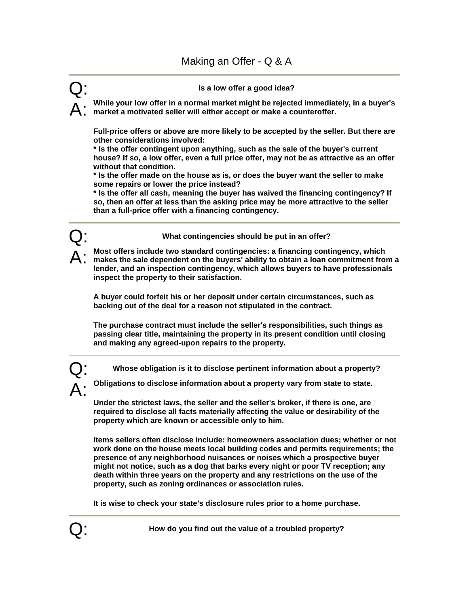## Q: **Is a low offer a good idea?**

A: **While your low offer in a normal market might be rejected immediately, in a buyer's market a motivated seller will either accept or make a counteroffer.** 

**Full-price offers or above are more likely to be accepted by the seller. But there are other considerations involved:** 

**\* Is the offer contingent upon anything, such as the sale of the buyer's current house? If so, a low offer, even a full price offer, may not be as attractive as an offer without that condition.** 

**\* Is the offer made on the house as is, or does the buyer want the seller to make some repairs or lower the price instead?** 

**\* Is the offer all cash, meaning the buyer has waived the financing contingency? If so, then an offer at less than the asking price may be more attractive to the seller than a full-price offer with a financing contingency.** 



A: **Most offers include two standard contingencies: a financing contingency, which makes the sale dependent on the buyers' ability to obtain a loan commitment from a lender, and an inspection contingency, which allows buyers to have professionals inspect the property to their satisfaction.** 

**A buyer could forfeit his or her deposit under certain circumstances, such as backing out of the deal for a reason not stipulated in the contract.** 

**The purchase contract must include the seller's responsibilities, such things as passing clear title, maintaining the property in its present condition until closing and making any agreed-upon repairs to the property.** 

Q: **Whose obligation is it to disclose pertinent information about a property?**

A: **Obligations to disclose information about a property vary from state to state.** 

**Under the strictest laws, the seller and the seller's broker, if there is one, are required to disclose all facts materially affecting the value or desirability of the property which are known or accessible only to him.** 

**Items sellers often disclose include: homeowners association dues; whether or not work done on the house meets local building codes and permits requirements; the presence of any neighborhood nuisances or noises which a prospective buyer might not notice, such as a dog that barks every night or poor TV reception; any death within three years on the property and any restrictions on the use of the property, such as zoning ordinances or association rules.** 

**It is wise to check your state's disclosure rules prior to a home purchase.** 

Q: **How do you find out the value of a troubled property?**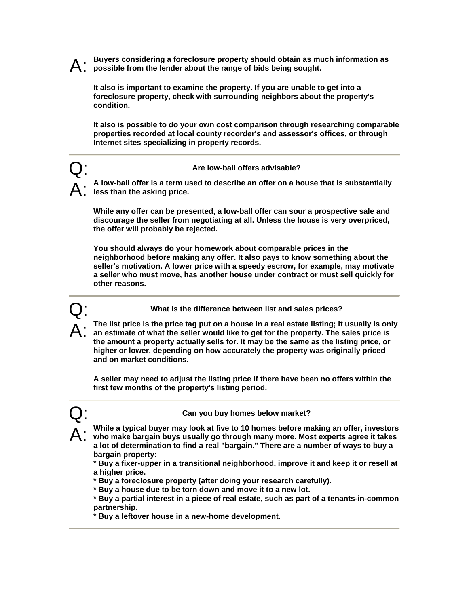A: **Buyers considering a foreclosure property should obtain as much information as possible from the lender about the range of bids being sought.** 

**It also is important to examine the property. If you are unable to get into a foreclosure property, check with surrounding neighbors about the property's condition.** 

**It also is possible to do your own cost comparison through researching comparable properties recorded at local county recorder's and assessor's offices, or through Internet sites specializing in property records.** 

### Q: **Are low-ball offers advisable?**

A: **A low-ball offer is a term used to describe an offer on a house that is substantially less than the asking price.** 

**While any offer can be presented, a low-ball offer can sour a prospective sale and discourage the seller from negotiating at all. Unless the house is very overpriced, the offer will probably be rejected.** 

**You should always do your homework about comparable prices in the neighborhood before making any offer. It also pays to know something about the seller's motivation. A lower price with a speedy escrow, for example, may motivate a seller who must move, has another house under contract or must sell quickly for other reasons.** 

Q: **What is the difference between list and sales prices?** 

The list price is the price tag put on a house in a real estate listing; it usually is only **an estimate of what the seller would like to get for the property. The sales price is the amount a property actually sells for. It may be the same as the listing price, or higher or lower, depending on how accurately the property was originally priced and on market conditions.** 

**A seller may need to adjust the listing price if there have been no offers within the first few months of the property's listing period.** 



Q: **Can you buy homes below market?** 

A: **While a typical buyer may look at five to 10 homes before making an offer, investors who make bargain buys usually go through many more. Most experts agree it takes a lot of determination to find a real "bargain." There are a number of ways to buy a bargain property:** 

**\* Buy a fixer-upper in a transitional neighborhood, improve it and keep it or resell at a higher price.** 

**\* Buy a foreclosure property (after doing your research carefully).** 

**\* Buy a house due to be torn down and move it to a new lot.** 

**\* Buy a partial interest in a piece of real estate, such as part of a tenants-in-common partnership.** 

**\* Buy a leftover house in a new-home development.**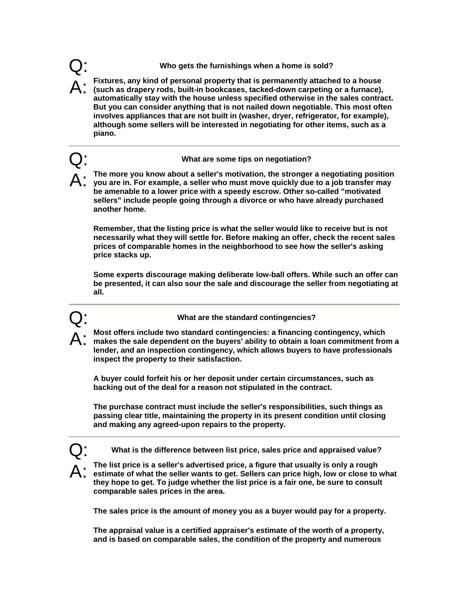# Q: **Who gets the furnishings when a home is sold?**

A: **Fixtures, any kind of personal property that is permanently attached to a house (such as drapery rods, built-in bookcases, tacked-down carpeting or a furnace), automatically stay with the house unless specified otherwise in the sales contract. But you can consider anything that is not nailed down negotiable. This most often involves appliances that are not built in (washer, dryer, refrigerator, for example), although some sellers will be interested in negotiating for other items, such as a piano.** 

# Q: **What are some tips on negotiation?**

A: **The more you know about a seller's motivation, the stronger a negotiating position you are in. For example, a seller who must move quickly due to a job transfer may be amenable to a lower price with a speedy escrow. Other so-called "motivated sellers" include people going through a divorce or who have already purchased another home.** 

**Remember, that the listing price is what the seller would like to receive but is not necessarily what they will settle for. Before making an offer, check the recent sales prices of comparable homes in the neighborhood to see how the seller's asking price stacks up.** 

**Some experts discourage making deliberate low-ball offers. While such an offer can be presented, it can also sour the sale and discourage the seller from negotiating at all.** 

Q: **What are the standard contingencies?** 

A: **Most offers include two standard contingencies: a financing contingency, which makes the sale dependent on the buyers' ability to obtain a loan commitment from a lender, and an inspection contingency, which allows buyers to have professionals inspect the property to their satisfaction.** 

**A buyer could forfeit his or her deposit under certain circumstances, such as backing out of the deal for a reason not stipulated in the contract.** 

**The purchase contract must include the seller's responsibilities, such things as passing clear title, maintaining the property in its present condition until closing and making any agreed-upon repairs to the property.** 

Q: **What is the difference between list price, sales price and appraised value?**

A: **The list price is a seller's advertised price, a figure that usually is only a rough estimate of what the seller wants to get. Sellers can price high, low or close to what they hope to get. To judge whether the list price is a fair one, be sure to consult comparable sales prices in the area.** 

**The sales price is the amount of money you as a buyer would pay for a property.** 

**The appraisal value is a certified appraiser's estimate of the worth of a property, and is based on comparable sales, the condition of the property and numerous**